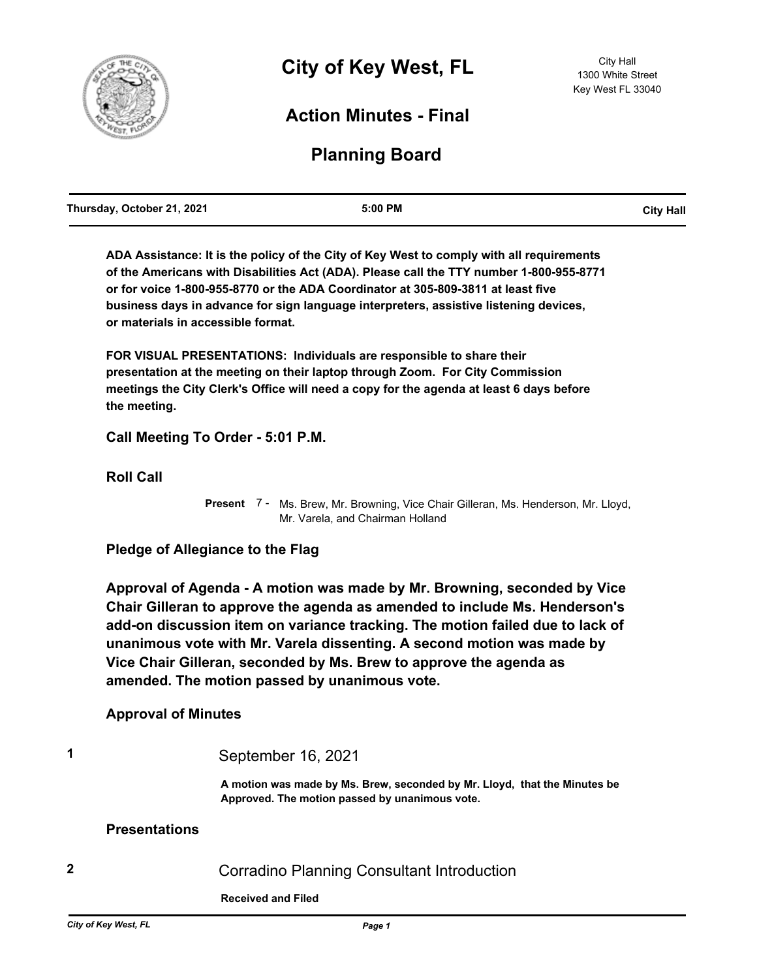

# **Action Minutes - Final**

# **Planning Board**

| Thursday, October 21, 2021 | 5:00 PM | <b>City Hall</b> |
|----------------------------|---------|------------------|
|                            |         |                  |

**ADA Assistance: It is the policy of the City of Key West to comply with all requirements of the Americans with Disabilities Act (ADA). Please call the TTY number 1-800-955-8771 or for voice 1-800-955-8770 or the ADA Coordinator at 305-809-3811 at least five business days in advance for sign language interpreters, assistive listening devices, or materials in accessible format.**

**FOR VISUAL PRESENTATIONS: Individuals are responsible to share their presentation at the meeting on their laptop through Zoom. For City Commission meetings the City Clerk's Office will need a copy for the agenda at least 6 days before the meeting.**

**Call Meeting To Order - 5:01 P.M.**

**Roll Call**

Present 7 - Ms. Brew, Mr. Browning, Vice Chair Gilleran, Ms. Henderson, Mr. Lloyd, Mr. Varela, and Chairman Holland

**Pledge of Allegiance to the Flag**

**Approval of Agenda - A motion was made by Mr. Browning, seconded by Vice Chair Gilleran to approve the agenda as amended to include Ms. Henderson's add-on discussion item on variance tracking. The motion failed due to lack of unanimous vote with Mr. Varela dissenting. A second motion was made by Vice Chair Gilleran, seconded by Ms. Brew to approve the agenda as amended. The motion passed by unanimous vote.**

#### **Approval of Minutes**

**1** September 16, 2021

**A motion was made by Ms. Brew, seconded by Mr. Lloyd, that the Minutes be Approved. The motion passed by unanimous vote.**

#### **Presentations**

**2** Corradino Planning Consultant Introduction

**Received and Filed**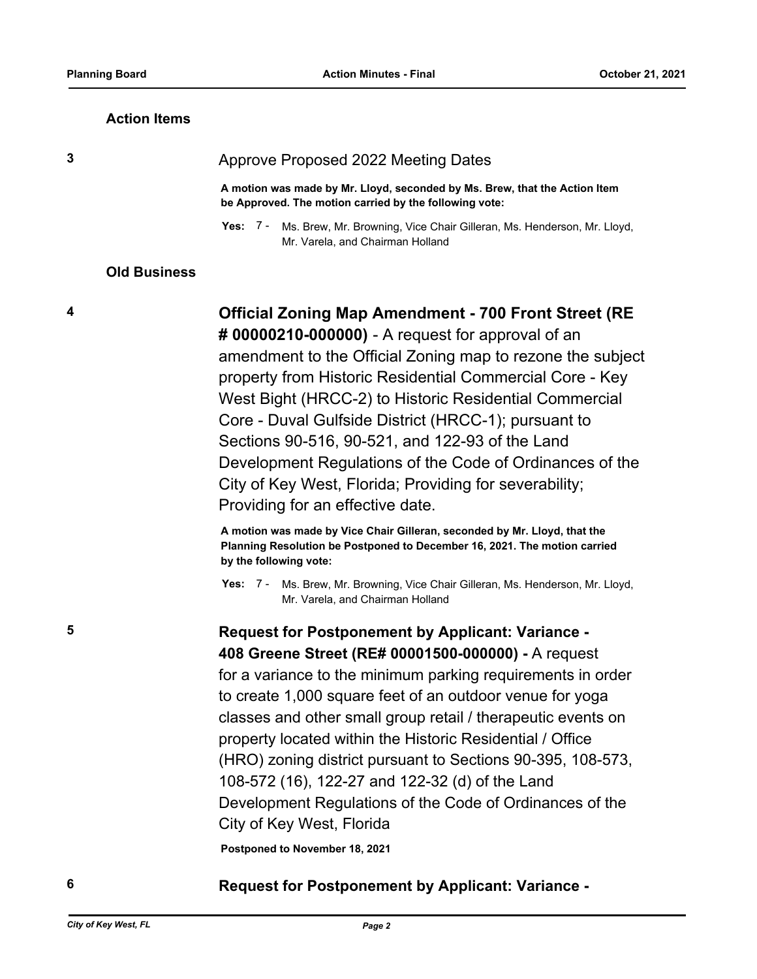#### **Action Items**

#### **3** Approve Proposed 2022 Meeting Dates

**A motion was made by Mr. Lloyd, seconded by Ms. Brew, that the Action Item be Approved. The motion carried by the following vote:**

Yes: 7 - Ms. Brew, Mr. Browning, Vice Chair Gilleran, Ms. Henderson, Mr. Lloyd, Mr. Varela, and Chairman Holland

#### **Old Business**

**4 Official Zoning Map Amendment - 700 Front Street (RE # 00000210-000000)** - A request for approval of an amendment to the Official Zoning map to rezone the subject property from Historic Residential Commercial Core - Key West Bight (HRCC-2) to Historic Residential Commercial Core - Duval Gulfside District (HRCC-1); pursuant to Sections 90-516, 90-521, and 122-93 of the Land Development Regulations of the Code of Ordinances of the City of Key West, Florida; Providing for severability; Providing for an effective date.

> **A motion was made by Vice Chair Gilleran, seconded by Mr. Lloyd, that the Planning Resolution be Postponed to December 16, 2021. The motion carried by the following vote:**

Yes: 7 - Ms. Brew, Mr. Browning, Vice Chair Gilleran, Ms. Henderson, Mr. Lloyd, Mr. Varela, and Chairman Holland

**5 Request for Postponement by Applicant: Variance - 408 Greene Street (RE# 00001500-000000) -** A request for a variance to the minimum parking requirements in order to create 1,000 square feet of an outdoor venue for yoga classes and other small group retail / therapeutic events on property located within the Historic Residential / Office (HRO) zoning district pursuant to Sections 90-395, 108-573, 108-572 (16), 122-27 and 122-32 (d) of the Land Development Regulations of the Code of Ordinances of the City of Key West, Florida

**Postponed to November 18, 2021**

### **6 Request for Postponement by Applicant: Variance -**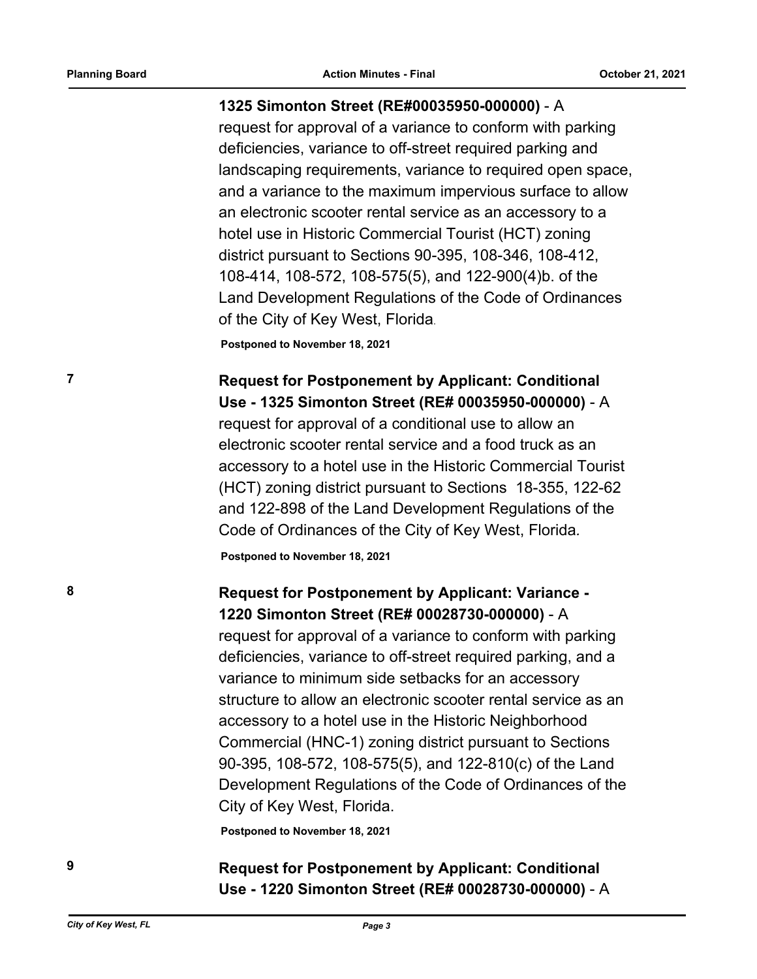#### **1325 Simonton Street (RE#00035950-000000)** - A

request for approval of a variance to conform with parking deficiencies, variance to off-street required parking and landscaping requirements, variance to required open space, and a variance to the maximum impervious surface to allow an electronic scooter rental service as an accessory to a hotel use in Historic Commercial Tourist (HCT) zoning district pursuant to Sections 90-395, 108-346, 108-412, 108-414, 108-572, 108-575(5), and 122-900(4)b. of the Land Development Regulations of the Code of Ordinances of the City of Key West, Florida.

**Postponed to November 18, 2021**

# **7 Request for Postponement by Applicant: Conditional Use - 1325 Simonton Street (RE# 00035950-000000)** - A

request for approval of a conditional use to allow an electronic scooter rental service and a food truck as an accessory to a hotel use in the Historic Commercial Tourist (HCT) zoning district pursuant to Sections 18-355, 122-62 and 122-898 of the Land Development Regulations of the Code of Ordinances of the City of Key West, Florida*.*

**Postponed to November 18, 2021**

### **8 Request for Postponement by Applicant: Variance - 1220 Simonton Street (RE# 00028730-000000)** - A

request for approval of a variance to conform with parking deficiencies, variance to off-street required parking, and a variance to minimum side setbacks for an accessory structure to allow an electronic scooter rental service as an accessory to a hotel use in the Historic Neighborhood Commercial (HNC-1) zoning district pursuant to Sections 90-395, 108-572, 108-575(5), and 122-810(c) of the Land Development Regulations of the Code of Ordinances of the City of Key West, Florida.

**Postponed to November 18, 2021**

## **9 Request for Postponement by Applicant: Conditional Use - 1220 Simonton Street (RE# 00028730-000000)** - A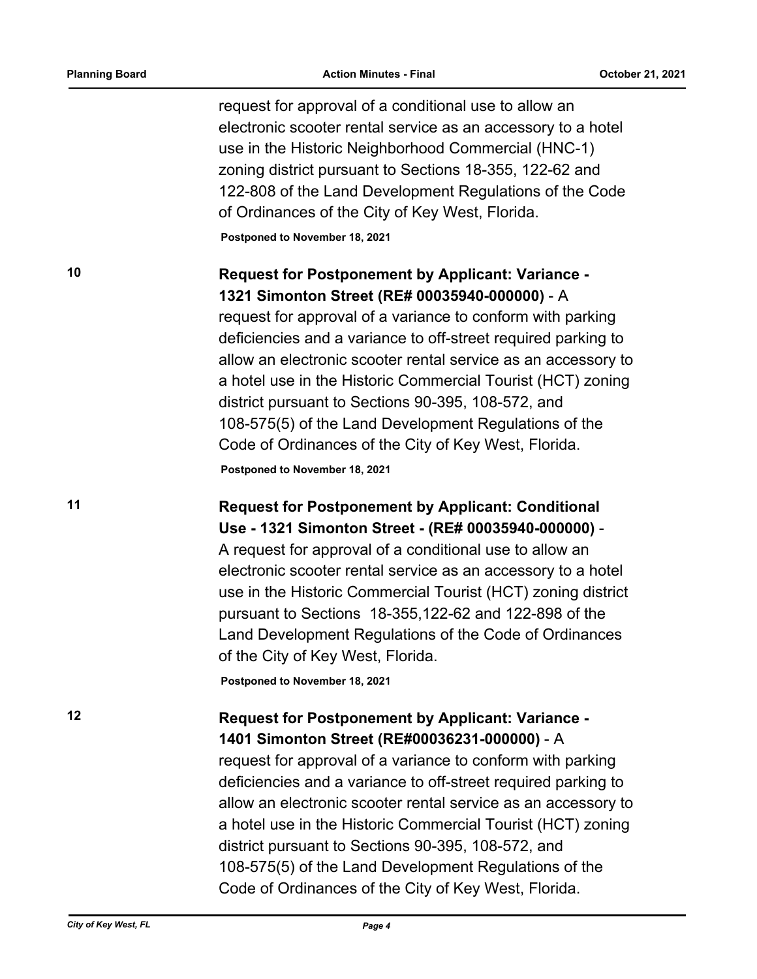request for approval of a conditional use to allow an electronic scooter rental service as an accessory to a hotel use in the Historic Neighborhood Commercial (HNC-1) zoning district pursuant to Sections 18-355, 122-62 and 122-808 of the Land Development Regulations of the Code of Ordinances of the City of Key West, Florida.

**Postponed to November 18, 2021**

## **10 Request for Postponement by Applicant: Variance - 1321 Simonton Street (RE# 00035940-000000)** - A

request for approval of a variance to conform with parking deficiencies and a variance to off-street required parking to allow an electronic scooter rental service as an accessory to a hotel use in the Historic Commercial Tourist (HCT) zoning district pursuant to Sections 90-395, 108-572, and 108-575(5) of the Land Development Regulations of the Code of Ordinances of the City of Key West, Florida. **Postponed to November 18, 2021**

### **11 Request for Postponement by Applicant: Conditional Use - 1321 Simonton Street - (RE# 00035940-000000)** -

A request for approval of a conditional use to allow an electronic scooter rental service as an accessory to a hotel use in the Historic Commercial Tourist (HCT) zoning district pursuant to Sections 18-355,122-62 and 122-898 of the Land Development Regulations of the Code of Ordinances of the City of Key West, Florida.

**Postponed to November 18, 2021**

### **12 Request for Postponement by Applicant: Variance - 1401 Simonton Street (RE#00036231-000000)** - A

request for approval of a variance to conform with parking deficiencies and a variance to off-street required parking to allow an electronic scooter rental service as an accessory to a hotel use in the Historic Commercial Tourist (HCT) zoning district pursuant to Sections 90-395, 108-572, and 108-575(5) of the Land Development Regulations of the Code of Ordinances of the City of Key West, Florida.